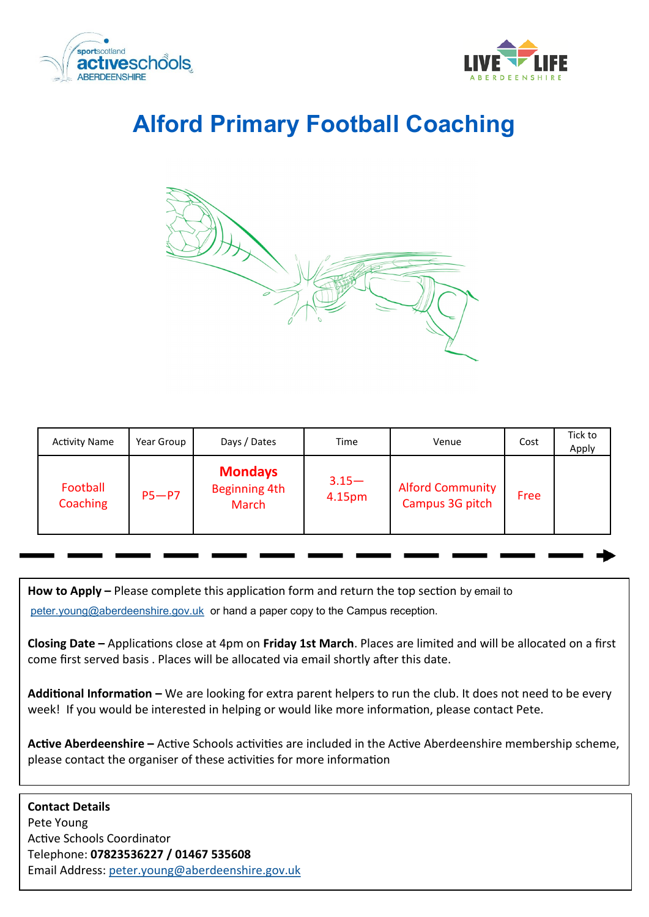



# **Alford Primary Football Coaching**



| <b>Activity Name</b> | Year Group | Days / Dates                                           | Time               | Venue                                      | Cost | Tick to<br>Apply |
|----------------------|------------|--------------------------------------------------------|--------------------|--------------------------------------------|------|------------------|
| Football<br>Coaching | $P5-P7$    | <b>Mondays</b><br><b>Beginning 4th</b><br><b>March</b> | $3.15 -$<br>4.15pm | <b>Alford Community</b><br>Campus 3G pitch | Free |                  |

**How to Apply –** Please complete this application form and return the top section by email to

[peter.young@aberdeenshire.gov.uk](mailto:peter.young@aberdeenshire.gov.uk) or hand a paper copy to the Campus reception.

**Closing Date –** Applications close at 4pm on **Friday 1st March**. Places are limited and will be allocated on a first come first served basis . Places will be allocated via email shortly after this date.

**Additional Information –** We are looking for extra parent helpers to run the club. It does not need to be every week! If you would be interested in helping or would like more information, please contact Pete.

**Active Aberdeenshire –** Active Schools activities are included in the Active Aberdeenshire membership scheme, please contact the organiser of these activities for more information

**Contact Details** Pete Young Active Schools Coordinator Telephone: **07823536227 / 01467 535608** Email Address: [peter.young@aberdeenshire.gov.uk](mailto:peter.young@aberdeenshire.gov.uk)